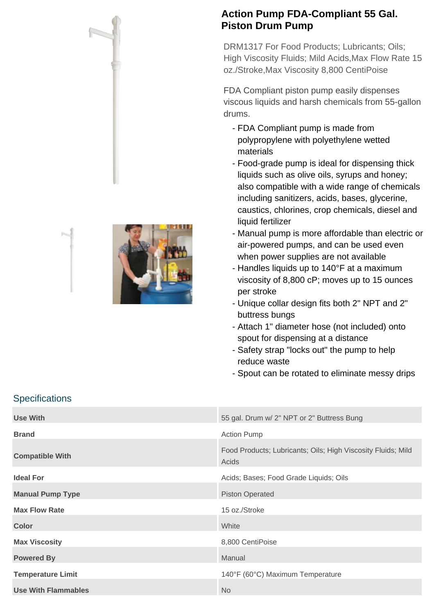



## **Action Pump FDA-Compliant 55 Gal. Piston Drum Pump**

DRM1317 For Food Products; Lubricants; Oils; High Viscosity Fluids; Mild Acids,Max Flow Rate 15 oz./Stroke,Max Viscosity 8,800 CentiPoise

FDA Compliant piston pump easily dispenses viscous liquids and harsh chemicals from 55-gallon drums.

- FDA Compliant pump is made from polypropylene with polyethylene wetted materials
- Food-grade pump is ideal for dispensing thick liquids such as olive oils, syrups and honey; also compatible with a wide range of chemicals including sanitizers, acids, bases, glycerine, caustics, chlorines, crop chemicals, diesel and liquid fertilizer
- Manual pump is more affordable than electric or air-powered pumps, and can be used even when power supplies are not available
- Handles liquids up to 140°F at a maximum viscosity of 8,800 cP; moves up to 15 ounces per stroke
- Unique collar design fits both 2" NPT and 2" buttress bungs
- Attach 1" diameter hose (not included) onto spout for dispensing at a distance
- Safety strap "locks out" the pump to help reduce waste
- Spout can be rotated to eliminate messy drips

## **Specifications**

| Use With                 | 55 gal. Drum w/ 2" NPT or 2" Buttress Bung                            |
|--------------------------|-----------------------------------------------------------------------|
| <b>Brand</b>             | <b>Action Pump</b>                                                    |
| <b>Compatible With</b>   | Food Products; Lubricants; Oils; High Viscosity Fluids; Mild<br>Acids |
| <b>Ideal For</b>         | Acids; Bases; Food Grade Liquids; Oils                                |
| <b>Manual Pump Type</b>  | <b>Piston Operated</b>                                                |
| <b>Max Flow Rate</b>     | 15 oz./Stroke                                                         |
| <b>Color</b>             | White                                                                 |
| <b>Max Viscosity</b>     | 8,800 CentiPoise                                                      |
| <b>Powered By</b>        | Manual                                                                |
| <b>Temperature Limit</b> | 140°F (60°C) Maximum Temperature                                      |
| Use With Flammables      | <b>No</b>                                                             |